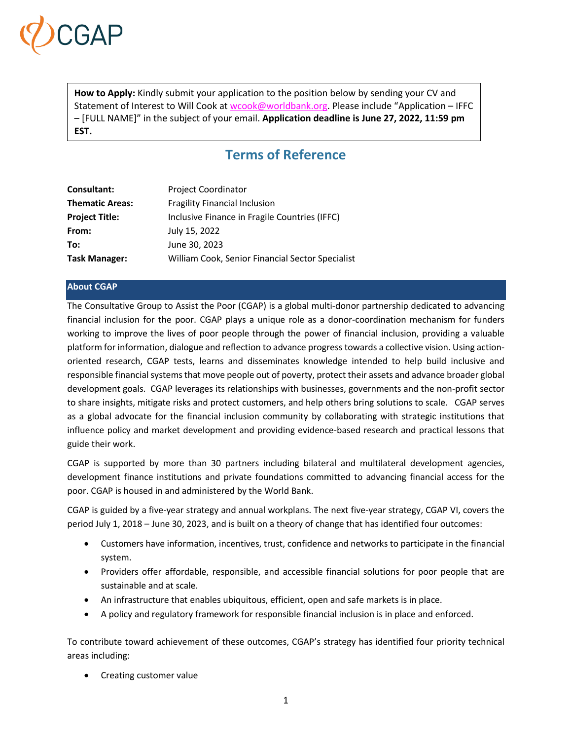

**How to Apply:** Kindly submit your application to the position below by sending your CV and Statement of Interest to Will Cook at [wcook@worldbank.org.](mailto:wcook@worldbank.org) Please include "Application – IFFC – [FULL NAME]" in the subject of your email. **Application deadline is June 27, 2022, 11:59 pm EST.**

# **Terms of Reference**

| <b>Consultant:</b>     | <b>Project Coordinator</b>                       |
|------------------------|--------------------------------------------------|
| <b>Thematic Areas:</b> | <b>Fragility Financial Inclusion</b>             |
| <b>Project Title:</b>  | Inclusive Finance in Fragile Countries (IFFC)    |
| From:                  | July 15, 2022                                    |
| To:                    | June 30, 2023                                    |
| <b>Task Manager:</b>   | William Cook, Senior Financial Sector Specialist |

# **About CGAP**

The Consultative Group to Assist the Poor (CGAP) is a global multi-donor partnership dedicated to advancing financial inclusion for the poor. CGAP plays a unique role as a donor-coordination mechanism for funders working to improve the lives of poor people through the power of financial inclusion, providing a valuable platform for information, dialogue and reflection to advance progresstowards a collective vision. Using actionoriented research, CGAP tests, learns and disseminates knowledge intended to help build inclusive and responsible financial systems that move people out of poverty, protect their assets and advance broader global development goals. CGAP leverages its relationships with businesses, governments and the non-profit sector to share insights, mitigate risks and protect customers, and help others bring solutions to scale. CGAP serves as a global advocate for the financial inclusion community by collaborating with strategic institutions that influence policy and market development and providing evidence-based research and practical lessons that guide their work.

CGAP is supported by more than 30 partners including bilateral and multilateral development agencies, development finance institutions and private foundations committed to advancing financial access for the poor. CGAP is housed in and administered by the World Bank.

CGAP is guided by a five-year strategy and annual workplans. The next five-year strategy, CGAP VI, covers the period July 1, 2018 – June 30, 2023, and is built on a theory of change that has identified four outcomes:

- Customers have information, incentives, trust, confidence and networks to participate in the financial system.
- Providers offer affordable, responsible, and accessible financial solutions for poor people that are sustainable and at scale.
- An infrastructure that enables ubiquitous, efficient, open and safe markets is in place.
- A policy and regulatory framework for responsible financial inclusion is in place and enforced.

To contribute toward achievement of these outcomes, CGAP's strategy has identified four priority technical areas including:

• Creating customer value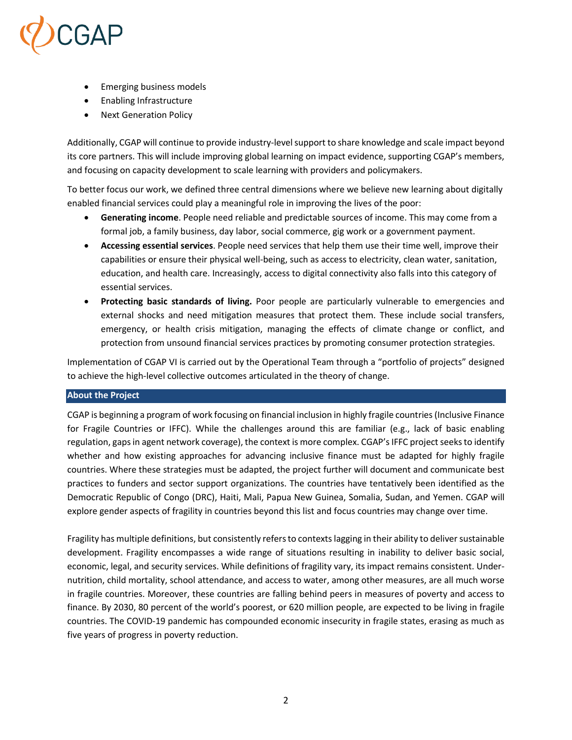

- Emerging business models
- Enabling Infrastructure
- Next Generation Policy

Additionally, CGAP will continue to provide industry-levelsupport to share knowledge and scale impact beyond its core partners. This will include improving global learning on impact evidence, supporting CGAP's members, and focusing on capacity development to scale learning with providers and policymakers.

To better focus our work, we defined three central dimensions where we believe new learning about digitally enabled financial services could play a meaningful role in improving the lives of the poor:

- **Generating income**. People need reliable and predictable sources of income. This may come from a formal job, a family business, day labor, social commerce, gig work or a government payment.
- **Accessing essential services**. People need services that help them use their time well, improve their capabilities or ensure their physical well-being, such as access to electricity, clean water, sanitation, education, and health care. Increasingly, access to digital connectivity also falls into this category of essential services.
- **Protecting basic standards of living.** Poor people are particularly vulnerable to emergencies and external shocks and need mitigation measures that protect them. These include social transfers, emergency, or health crisis mitigation, managing the effects of climate change or conflict, and protection from unsound financial services practices by promoting consumer protection strategies.

Implementation of CGAP VI is carried out by the Operational Team through a "portfolio of projects" designed to achieve the high-level collective outcomes articulated in the theory of change.

# **About the Project**

CGAP is beginning a program of work focusing on financial inclusion in highly fragile countries(Inclusive Finance for Fragile Countries or IFFC). While the challenges around this are familiar (e.g., lack of basic enabling regulation, gaps in agent network coverage), the context is more complex. CGAP's IFFC project seeks to identify whether and how existing approaches for advancing inclusive finance must be adapted for highly fragile countries. Where these strategies must be adapted, the project further will document and communicate best practices to funders and sector support organizations. The countries have tentatively been identified as the Democratic Republic of Congo (DRC), Haiti, Mali, Papua New Guinea, Somalia, Sudan, and Yemen. CGAP will explore gender aspects of fragility in countries beyond this list and focus countries may change over time.

Fragility has multiple definitions, but consistently refers to contexts lagging in their ability to deliver sustainable development. Fragility encompasses a wide range of situations resulting in inability to deliver basic social, economic, legal, and security services. While definitions of fragility vary, its impact remains consistent. Undernutrition, child mortality, school attendance, and access to water, among other measures, are all much worse in fragile countries. Moreover, these countries are falling behind peers in measures of poverty and access to finance. By 2030, 80 percent of the world's poorest, or 620 million people, are expected to be living in fragile countries. The COVID-19 pandemic has compounded economic insecurity in fragile states, erasing as much as five years of progress in poverty reduction.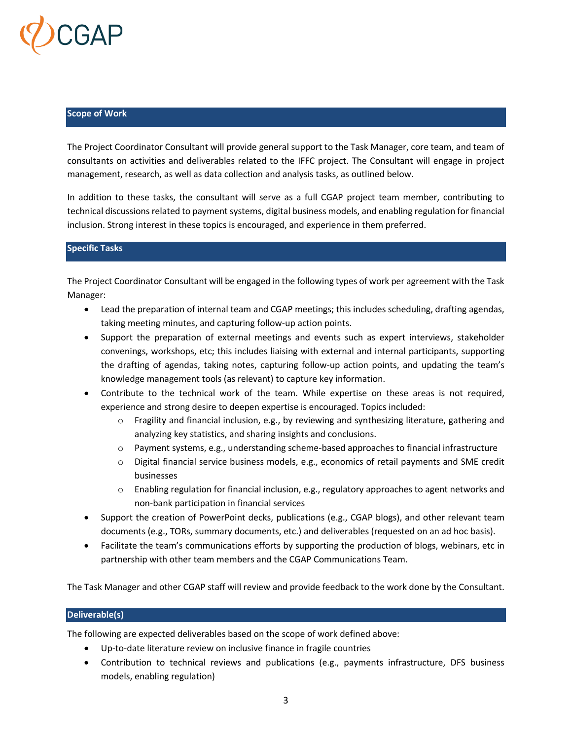

## **Scope of Work**

The Project Coordinator Consultant will provide general support to the Task Manager, core team, and team of consultants on activities and deliverables related to the IFFC project. The Consultant will engage in project management, research, as well as data collection and analysis tasks, as outlined below.

In addition to these tasks, the consultant will serve as a full CGAP project team member, contributing to technical discussions related to payment systems, digital business models, and enabling regulation for financial inclusion. Strong interest in these topics is encouraged, and experience in them preferred.

## **Specific Tasks**

The Project Coordinator Consultant will be engaged in the following types of work per agreement with the Task Manager:

- Lead the preparation of internal team and CGAP meetings; this includes scheduling, drafting agendas, taking meeting minutes, and capturing follow-up action points.
- Support the preparation of external meetings and events such as expert interviews, stakeholder convenings, workshops, etc; this includes liaising with external and internal participants, supporting the drafting of agendas, taking notes, capturing follow-up action points, and updating the team's knowledge management tools (as relevant) to capture key information.
- Contribute to the technical work of the team. While expertise on these areas is not required, experience and strong desire to deepen expertise is encouraged. Topics included:
	- o Fragility and financial inclusion, e.g., by reviewing and synthesizing literature, gathering and analyzing key statistics, and sharing insights and conclusions.
	- $\circ$  Payment systems, e.g., understanding scheme-based approaches to financial infrastructure
	- o Digital financial service business models, e.g., economics of retail payments and SME credit businesses
	- o Enabling regulation for financial inclusion, e.g., regulatory approaches to agent networks and non-bank participation in financial services
- Support the creation of PowerPoint decks, publications (e.g., CGAP blogs), and other relevant team documents (e.g., TORs, summary documents, etc.) and deliverables (requested on an ad hoc basis).
- Facilitate the team's communications efforts by supporting the production of blogs, webinars, etc in partnership with other team members and the CGAP Communications Team.

The Task Manager and other CGAP staff will review and provide feedback to the work done by the Consultant.

## **Deliverable(s)**

The following are expected deliverables based on the scope of work defined above:

- Up-to-date literature review on inclusive finance in fragile countries
- Contribution to technical reviews and publications (e.g., payments infrastructure, DFS business models, enabling regulation)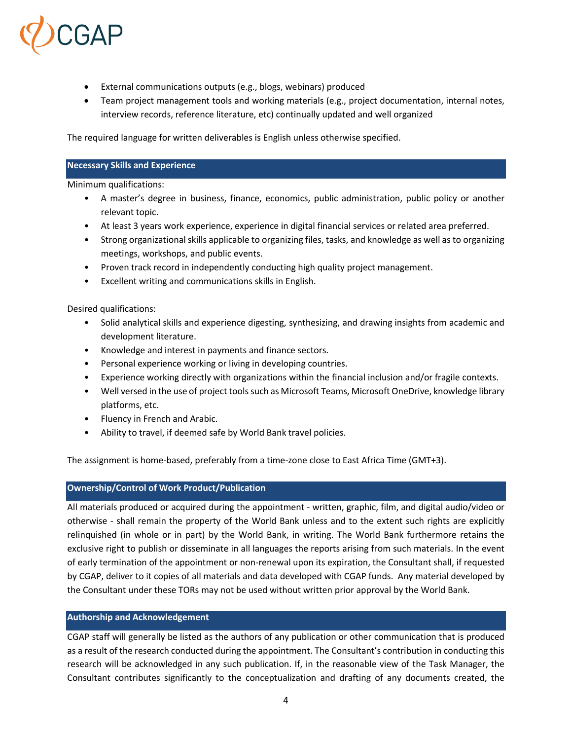

- External communications outputs (e.g., blogs, webinars) produced
- Team project management tools and working materials (e.g., project documentation, internal notes, interview records, reference literature, etc) continually updated and well organized

The required language for written deliverables is English unless otherwise specified.

#### **Necessary Skills and Experience**

Minimum qualifications:

- A master's degree in business, finance, economics, public administration, public policy or another relevant topic.
- At least 3 years work experience, experience in digital financial services or related area preferred.
- Strong organizational skills applicable to organizing files, tasks, and knowledge as well as to organizing meetings, workshops, and public events.
- Proven track record in independently conducting high quality project management.
- Excellent writing and communications skills in English.

Desired qualifications:

- Solid analytical skills and experience digesting, synthesizing, and drawing insights from academic and development literature.
- Knowledge and interest in payments and finance sectors.
- Personal experience working or living in developing countries.
- Experience working directly with organizations within the financial inclusion and/or fragile contexts.
- Well versed in the use of project tools such as Microsoft Teams, Microsoft OneDrive, knowledge library platforms, etc.
- Fluency in French and Arabic.
- Ability to travel, if deemed safe by World Bank travel policies.

The assignment is home-based, preferably from a time-zone close to East Africa Time (GMT+3).

## **Ownership/Control of Work Product/Publication**

All materials produced or acquired during the appointment - written, graphic, film, and digital audio/video or otherwise - shall remain the property of the World Bank unless and to the extent such rights are explicitly relinquished (in whole or in part) by the World Bank, in writing. The World Bank furthermore retains the exclusive right to publish or disseminate in all languages the reports arising from such materials. In the event of early termination of the appointment or non-renewal upon its expiration, the Consultant shall, if requested by CGAP, deliver to it copies of all materials and data developed with CGAP funds. Any material developed by the Consultant under these TORs may not be used without written prior approval by the World Bank.

# **Authorship and Acknowledgement**

CGAP staff will generally be listed as the authors of any publication or other communication that is produced as a result of the research conducted during the appointment. The Consultant's contribution in conducting this research will be acknowledged in any such publication. If, in the reasonable view of the Task Manager, the Consultant contributes significantly to the conceptualization and drafting of any documents created, the